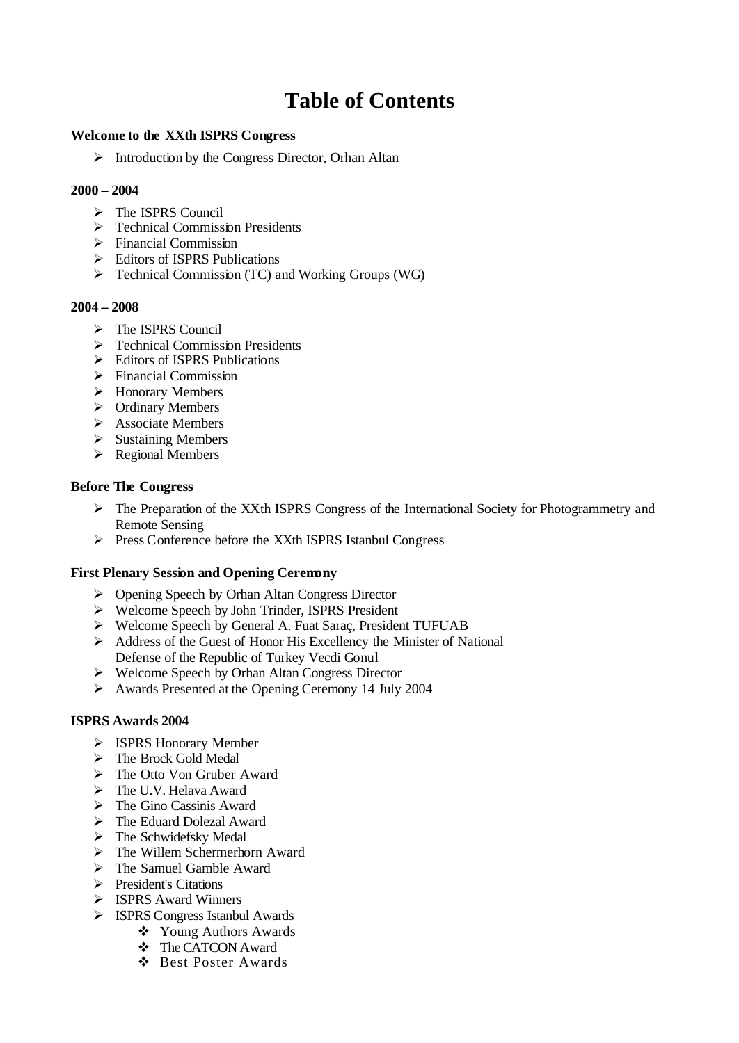# **Table of Contents**

#### **Welcome to the XXth ISPRS Congress**

 $\triangleright$  Introduction by the Congress Director, Orhan Altan

#### **2000 – 2004**

- $\triangleright$  The ISPRS Council
- $\triangleright$  Technical Commission Presidents
- $\triangleright$  Financial Commission
- ÿ Editors of ISPRS Publications
- $\triangleright$  Technical Commission (TC) and Working Groups (WG)

#### **2004 – 2008**

- $\triangleright$  The ISPRS Council
- $\triangleright$  Technical Commission Presidents
- $\triangleright$  Editors of ISPRS Publications
- $\triangleright$  Financial Commission
- $\triangleright$  Honorary Members
- $\triangleright$  Ordinary Members
- $\triangleright$  Associate Members
- $\triangleright$  Sustaining Members
- $\triangleright$  Regional Members

## **Before The Congress**

- $\triangleright$  The Preparation of the XXth ISPRS Congress of the International Society for Photogrammetry and Remote Sensing
- ÿ Press Conference before the XXth ISPRS Istanbul Congress

# **First Plenary Session and Opening Ceremony**

- ÿ Opening Speech by Orhan Altan Congress Director
- ÿ Welcome Speech by John Trinder, ISPRS President
- ÿ Welcome Speech by General A. Fuat Saraç, President TUFUAB
- $\triangleright$  Address of the Guest of Honor His Excellency the Minister of National Defense of the Republic of Turkey Vecdi Gonul
- $\triangleright$  Welcome Speech by Orhan Altan Congress Director
- ÿ Awards Presented at the Opening Ceremony 14 July 2004

#### **ISPRS Awards 2004**

- ÿ ISPRS Honorary Member
- > The Brock Gold Medal
- $\triangleright$  The Otto Von Gruber Award
- $\triangleright$  The U.V. Helava Award
- $\triangleright$  The Gino Cassinis Award
- $\triangleright$  The Eduard Dolezal Award
- $\triangleright$  The Schwidefsky Medal
- $\triangleright$  The Willem Schermerhorn Award
- $\triangleright$  The Samuel Gamble Award
- **►** President's Citations
- **▶ ISPRS Award Winners**
- ÿ ISPRS Congress Istanbul Awards
	- ❖ Young Authors Awards
	- v The CATCON Award
	- v Best Poster Awards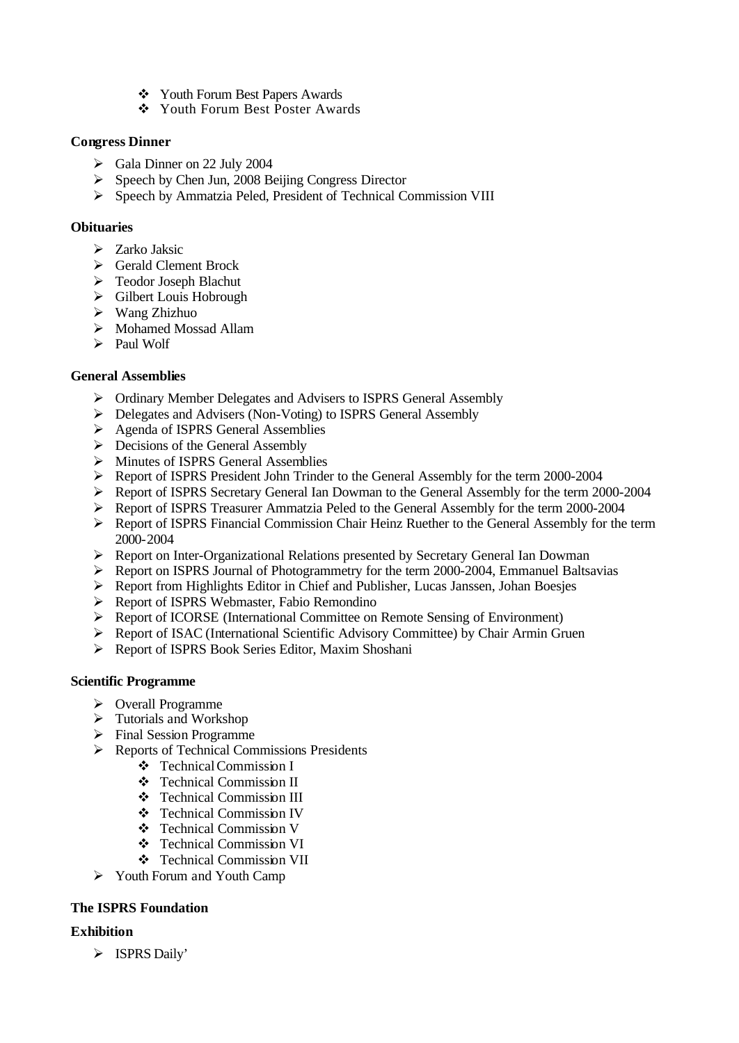- v Youth Forum Best Papers Awards
- v Youth Forum Best Poster Awards

## **Congress Dinner**

- $\blacktriangleright$  Gala Dinner on 22 July 2004
- $\triangleright$  Speech by Chen Jun, 2008 Beijing Congress Director
- ÿ Speech by Ammatzia Peled, President of Technical Commission VIII

#### **Obituaries**

- $\triangleright$  Zarko Jaksic
- $\triangleright$  Gerald Clement Brock
- $\triangleright$  Teodor Joseph Blachut
- $\triangleright$  Gilbert Louis Hobrough
- $\triangleright$  Wang Zhizhuo
- ▶ Mohamed Mossad Allam
- $\triangleright$  Paul Wolf

## **General Assemblies**

- > Ordinary Member Delegates and Advisers to ISPRS General Assembly
- ÿ Delegates and Advisers (Non-Voting) to ISPRS General Assembly
- ▶ Agenda of ISPRS General Assemblies
- $\triangleright$  Decisions of the General Assembly
- ÿ Minutes of ISPRS General Assemblies
- ÿ Report of ISPRS President John Trinder to the General Assembly for the term 2000-2004
- ÿ Report of ISPRS Secretary General Ian Dowman to the General Assembly for the term 2000-2004
- ÿ Report of ISPRS Treasurer Ammatzia Peled to the General Assembly for the term 2000-2004
- ÿ Report of ISPRS Financial Commission Chair Heinz Ruether to the General Assembly for the term 2000-2004
- $\triangleright$  Report on Inter-Organizational Relations presented by Secretary General Ian Dowman
- ÿ Report on ISPRS Journal of Photogrammetry for the term 2000-2004, Emmanuel Baltsavias
- ÿ Report from Highlights Editor in Chief and Publisher, Lucas Janssen, Johan Boesjes
- ÿ Report of ISPRS Webmaster, Fabio Remondino
- $\triangleright$  Report of ICORSE (International Committee on Remote Sensing of Environment)
- $\triangleright$  Report of ISAC (International Scientific Advisory Committee) by Chair Armin Gruen
- ▶ Report of ISPRS Book Series Editor, Maxim Shoshani

#### **Scientific Programme**

- ÿ Overall Programme
- $\triangleright$  Tutorials and Workshop
- $\triangleright$  Final Session Programme
- ÿ Reports of Technical Commissions Presidents
	- v Technical Commission I
	- v Technical Commission II
	- v Technical Commission III
	- v Technical Commission IV
	- v Technical Commission V
	- v Technical Commission VI
	- v Technical Commission VII
- $\triangleright$  Youth Forum and Youth Camp

# **The ISPRS Foundation**

# **Exhibition**

> ISPRS Daily'